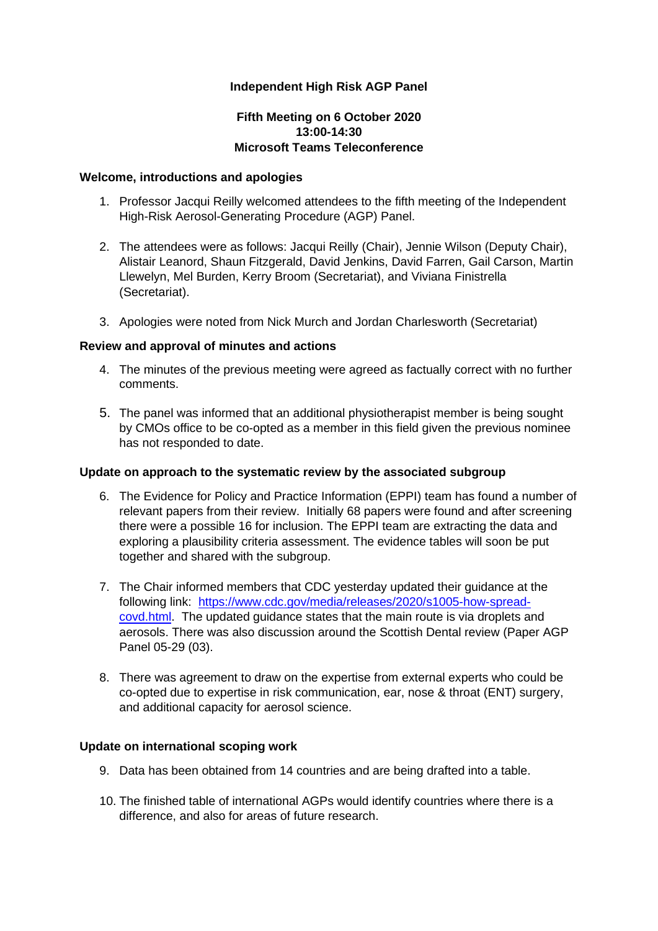## **Independent High Risk AGP Panel**

## **Fifth Meeting on 6 October 2020 13:00-14:30 Microsoft Teams Teleconference**

### **Welcome, introductions and apologies**

- 1. Professor Jacqui Reilly welcomed attendees to the fifth meeting of the Independent High-Risk Aerosol-Generating Procedure (AGP) Panel.
- 2. The attendees were as follows: Jacqui Reilly (Chair), Jennie Wilson (Deputy Chair), Alistair Leanord, Shaun Fitzgerald, David Jenkins, David Farren, Gail Carson, Martin Llewelyn, Mel Burden, Kerry Broom (Secretariat), and Viviana Finistrella (Secretariat).
- 3. Apologies were noted from Nick Murch and Jordan Charlesworth (Secretariat)

### **Review and approval of minutes and actions**

- 4. The minutes of the previous meeting were agreed as factually correct with no further comments.
- 5. The panel was informed that an additional physiotherapist member is being sought by CMOs office to be co-opted as a member in this field given the previous nominee has not responded to date.

#### **Update on approach to the systematic review by the associated subgroup**

- 6. The Evidence for Policy and Practice Information (EPPI) team has found a number of relevant papers from their review. Initially 68 papers were found and after screening there were a possible 16 for inclusion. The EPPI team are extracting the data and exploring a plausibility criteria assessment. The evidence tables will soon be put together and shared with the subgroup.
- 7. The Chair informed members that CDC yesterday updated their guidance at the following link: [https://www.cdc.gov/media/releases/2020/s1005-how-spread](https://www.cdc.gov/media/releases/2020/s1005-how-spread-covd.html)covd.html. The updated guidance states that the main route is via droplets and aerosols. There was also discussion around the Scottish Dental review (Paper AGP Panel 05-29 (03).
- 8. There was agreement to draw on the expertise from external experts who could be co-opted due to expertise in risk communication, ear, nose & throat (ENT) surgery, and additional capacity for aerosol science.

#### **Update on international scoping work**

- 9. Data has been obtained from 14 countries and are being drafted into a table.
- 10. The finished table of international AGPs would identify countries where there is a difference, and also for areas of future research.